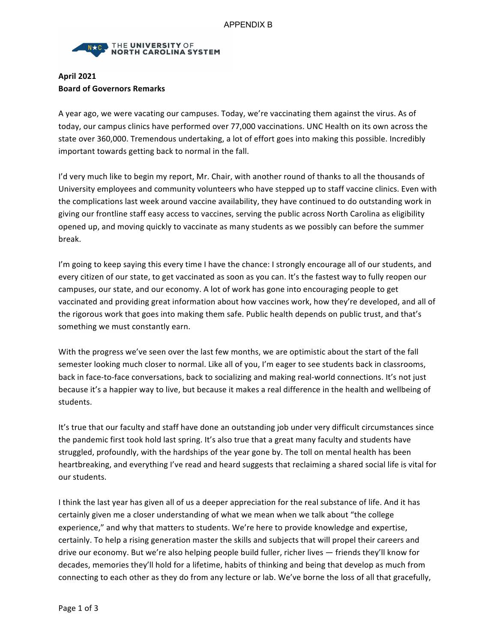

## **April 2021 Board of Governors Remarks**

A year ago, we were vacating our campuses. Today, we're vaccinating them against the virus. As of today, our campus clinics have performed over 77,000 vaccinations. UNC Health on its own across the state over 360,000. Tremendous undertaking, a lot of effort goes into making this possible. Incredibly important towards getting back to normal in the fall.

I'd very much like to begin my report, Mr. Chair, with another round of thanks to all the thousands of University employees and community volunteers who have stepped up to staff vaccine clinics. Even with the complications last week around vaccine availability, they have continued to do outstanding work in giving our frontline staff easy access to vaccines, serving the public across North Carolina as eligibility opened up, and moving quickly to vaccinate as many students as we possibly can before the summer break.

I'm going to keep saying this every time I have the chance: I strongly encourage all of our students, and every citizen of our state, to get vaccinated as soon as you can. It's the fastest way to fully reopen our campuses, our state, and our economy. A lot of work has gone into encouraging people to get vaccinated and providing great information about how vaccines work, how they're developed, and all of the rigorous work that goes into making them safe. Public health depends on public trust, and that's something we must constantly earn.

With the progress we've seen over the last few months, we are optimistic about the start of the fall semester looking much closer to normal. Like all of you, I'm eager to see students back in classrooms, back in face-to-face conversations, back to socializing and making real-world connections. It's not just because it's a happier way to live, but because it makes a real difference in the health and wellbeing of students. 

It's true that our faculty and staff have done an outstanding job under very difficult circumstances since the pandemic first took hold last spring. It's also true that a great many faculty and students have struggled, profoundly, with the hardships of the year gone by. The toll on mental health has been heartbreaking, and everything I've read and heard suggests that reclaiming a shared social life is vital for our students.

I think the last year has given all of us a deeper appreciation for the real substance of life. And it has certainly given me a closer understanding of what we mean when we talk about "the college experience," and why that matters to students. We're here to provide knowledge and expertise, certainly. To help a rising generation master the skills and subjects that will propel their careers and drive our economy. But we're also helping people build fuller, richer lives — friends they'll know for decades, memories they'll hold for a lifetime, habits of thinking and being that develop as much from connecting to each other as they do from any lecture or lab. We've borne the loss of all that gracefully,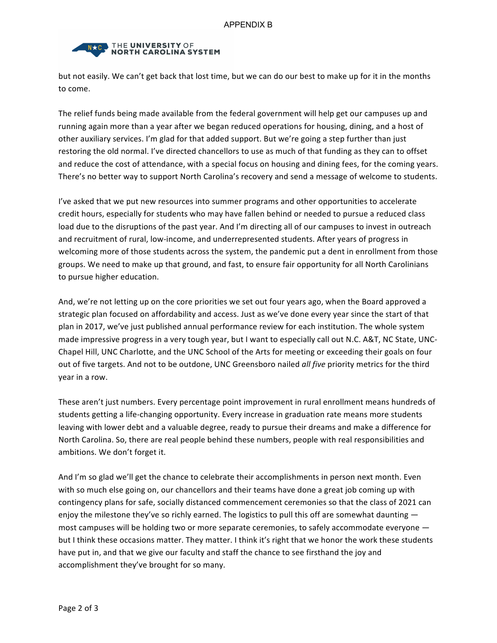

but not easily. We can't get back that lost time, but we can do our best to make up for it in the months to come. 

The relief funds being made available from the federal government will help get our campuses up and running again more than a year after we began reduced operations for housing, dining, and a host of other auxiliary services. I'm glad for that added support. But we're going a step further than just restoring the old normal. I've directed chancellors to use as much of that funding as they can to offset and reduce the cost of attendance, with a special focus on housing and dining fees, for the coming years. There's no better way to support North Carolina's recovery and send a message of welcome to students.

I've asked that we put new resources into summer programs and other opportunities to accelerate credit hours, especially for students who may have fallen behind or needed to pursue a reduced class load due to the disruptions of the past year. And I'm directing all of our campuses to invest in outreach and recruitment of rural, low-income, and underrepresented students. After years of progress in welcoming more of those students across the system, the pandemic put a dent in enrollment from those groups. We need to make up that ground, and fast, to ensure fair opportunity for all North Carolinians to pursue higher education.

And, we're not letting up on the core priorities we set out four years ago, when the Board approved a strategic plan focused on affordability and access. Just as we've done every year since the start of that plan in 2017, we've just published annual performance review for each institution. The whole system made impressive progress in a very tough year, but I want to especially call out N.C. A&T, NC State, UNC-Chapel Hill, UNC Charlotte, and the UNC School of the Arts for meeting or exceeding their goals on four out of five targets. And not to be outdone, UNC Greensboro nailed *all five* priority metrics for the third vear in a row.

These aren't just numbers. Every percentage point improvement in rural enrollment means hundreds of students getting a life-changing opportunity. Every increase in graduation rate means more students leaving with lower debt and a valuable degree, ready to pursue their dreams and make a difference for North Carolina. So, there are real people behind these numbers, people with real responsibilities and ambitions. We don't forget it.

And I'm so glad we'll get the chance to celebrate their accomplishments in person next month. Even with so much else going on, our chancellors and their teams have done a great job coming up with contingency plans for safe, socially distanced commencement ceremonies so that the class of 2021 can enjoy the milestone they've so richly earned. The logistics to pull this off are somewhat daunting  $$ most campuses will be holding two or more separate ceremonies, to safely accommodate everyone  $$ but I think these occasions matter. They matter. I think it's right that we honor the work these students have put in, and that we give our faculty and staff the chance to see firsthand the joy and accomplishment they've brought for so many.